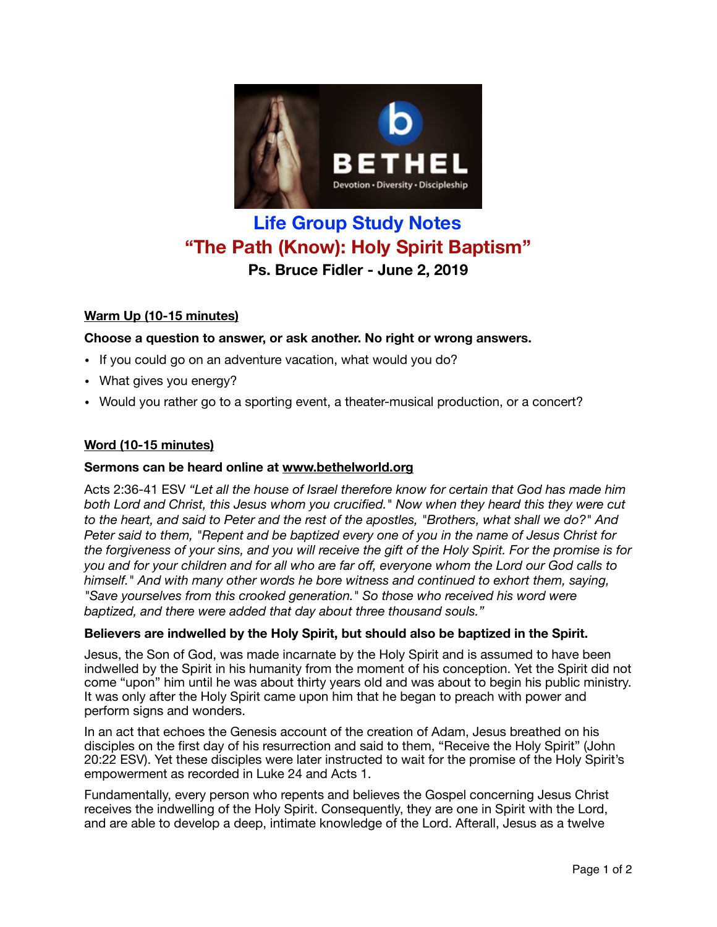

# **Life Group Study Notes "The Path (Know): Holy Spirit Baptism" Ps. Bruce Fidler - June 2, 2019**

## **Warm Up (10-15 minutes)**

## **Choose a question to answer, or ask another. No right or wrong answers.**

- If you could go on an adventure vacation, what would you do?
- What gives you energy?
- Would you rather go to a sporting event, a theater-musical production, or a concert?

### **Word (10-15 minutes)**

## **Sermons can be heard online at [www.bethelworld.org](http://www.bethelworld.org)**

Acts 2:36-41 ESV *"Let all the house of Israel therefore know for certain that God has made him both Lord and Christ, this Jesus whom you crucified." Now when they heard this they were cut to the heart, and said to Peter and the rest of the apostles, "Brothers, what shall we do?" And Peter said to them, "Repent and be baptized every one of you in the name of Jesus Christ for the forgiveness of your sins, and you will receive the gift of the Holy Spirit. For the promise is for you and for your children and for all who are far off, everyone whom the Lord our God calls to himself." And with many other words he bore witness and continued to exhort them, saying,*  "Save yourselves from this crooked generation." So those who received his word were *baptized, and there were added that day about three thousand souls."*

#### **Believers are indwelled by the Holy Spirit, but should also be baptized in the Spirit.**

Jesus, the Son of God, was made incarnate by the Holy Spirit and is assumed to have been indwelled by the Spirit in his humanity from the moment of his conception. Yet the Spirit did not come "upon" him until he was about thirty years old and was about to begin his public ministry. It was only after the Holy Spirit came upon him that he began to preach with power and perform signs and wonders.

In an act that echoes the Genesis account of the creation of Adam, Jesus breathed on his disciples on the first day of his resurrection and said to them, "Receive the Holy Spirit" (John 20:22 ESV). Yet these disciples were later instructed to wait for the promise of the Holy Spirit's empowerment as recorded in Luke 24 and Acts 1.

Fundamentally, every person who repents and believes the Gospel concerning Jesus Christ receives the indwelling of the Holy Spirit. Consequently, they are one in Spirit with the Lord, and are able to develop a deep, intimate knowledge of the Lord. Afterall, Jesus as a twelve